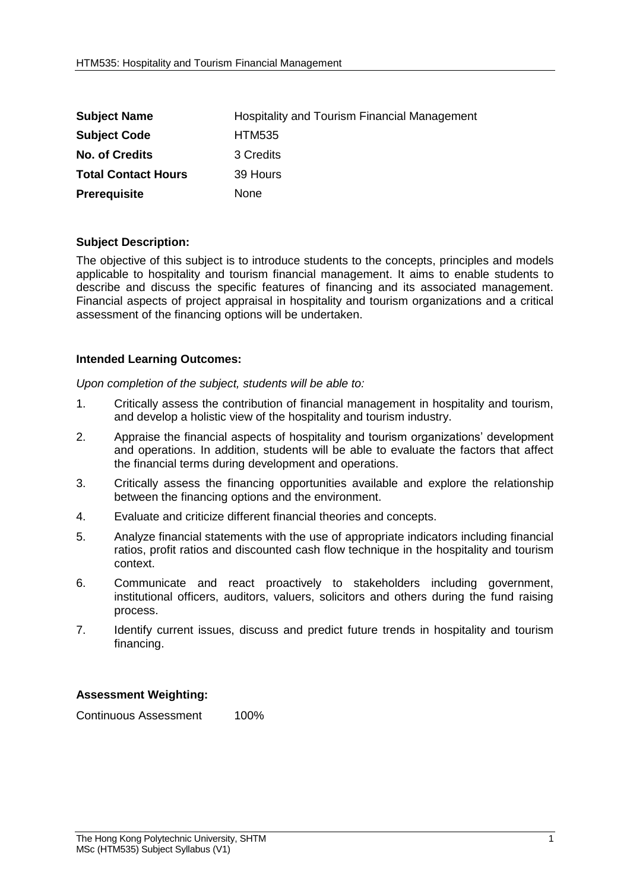| <b>Subject Name</b>        | Hospitality and Tourism Financial Management |
|----------------------------|----------------------------------------------|
| <b>Subject Code</b>        | <b>HTM535</b>                                |
| <b>No. of Credits</b>      | 3 Credits                                    |
| <b>Total Contact Hours</b> | 39 Hours                                     |
| <b>Prerequisite</b>        | None                                         |

## **Subject Description:**

The objective of this subject is to introduce students to the concepts, principles and models applicable to hospitality and tourism financial management. It aims to enable students to describe and discuss the specific features of financing and its associated management. Financial aspects of project appraisal in hospitality and tourism organizations and a critical assessment of the financing options will be undertaken.

## **Intended Learning Outcomes:**

*Upon completion of the subject, students will be able to:*

- 1. Critically assess the contribution of financial management in hospitality and tourism, and develop a holistic view of the hospitality and tourism industry.
- 2. Appraise the financial aspects of hospitality and tourism organizations' development and operations. In addition, students will be able to evaluate the factors that affect the financial terms during development and operations.
- 3. Critically assess the financing opportunities available and explore the relationship between the financing options and the environment.
- 4. Evaluate and criticize different financial theories and concepts.
- 5. Analyze financial statements with the use of appropriate indicators including financial ratios, profit ratios and discounted cash flow technique in the hospitality and tourism context.
- 6. Communicate and react proactively to stakeholders including government, institutional officers, auditors, valuers, solicitors and others during the fund raising process.
- 7. Identify current issues, discuss and predict future trends in hospitality and tourism financing.

## **Assessment Weighting:**

Continuous Assessment 100%